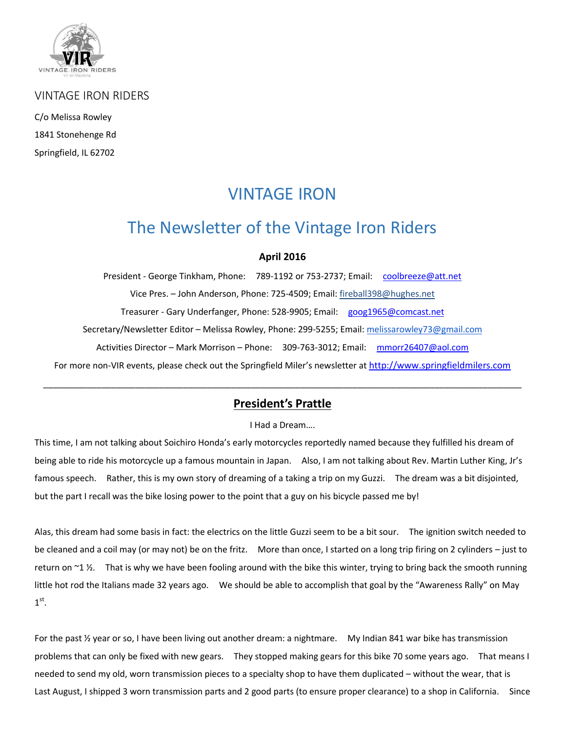

VINTAGE IRON RIDERS

C/o Melissa Rowley 1841 Stonehenge Rd Springfield, IL 62702

# VINTAGE IRON

# The Newsletter of the Vintage Iron Riders

#### **April 2016**

President - George Tinkham, Phone: 789-1192 or 753-2737; Email: [coolbreeze@att.net](mailto:coolbreeze@att.net%20/) Vice Pres. – John Anderson, Phone: 725-4509; Email: fireball398@hughes.net Treasurer - Gary Underfanger, Phone: 528-9905; Email: [goog1965@comcast.net](mailto:goog1965@comcast.net%20/) Secretary/Newsletter Editor - Melissa Rowley, Phone: 299-5255; Email[: melissarowley73@gmail.com](mailto:melissarowley73@gmail.com%20/) Activities Director – Mark Morrison – Phone: 309-763-3012; Email: [mmorr26407@aol.com](mailto:mmorr26407@aol.com%20/) For more non-VIR events, please check out the Springfield Miler's newsletter at http://www.springfieldmilers.com

#### **President's Prattle**

\_\_\_\_\_\_\_\_\_\_\_\_\_\_\_\_\_\_\_\_\_\_\_\_\_\_\_\_\_\_\_\_\_\_\_\_\_\_\_\_\_\_\_\_\_\_\_\_\_\_\_\_\_\_\_\_\_\_\_\_\_\_\_\_\_\_\_\_\_\_\_\_\_\_\_\_\_\_\_\_\_\_\_\_\_\_\_\_\_\_\_\_\_\_\_\_\_\_[\\_](http://www.springfieldmilers.com/milerNL0415.pdf%20/)

#### I Had a Dream….

This time, I am not talking about Soichiro Honda's early motorcycles reportedly named because they fulfilled his dream of being able to ride his motorcycle up a famous mountain in Japan. Also, I am not talking about Rev. Martin Luther King, Jr's famous speech. Rather, this is my own story of dreaming of a taking a trip on my Guzzi. The dream was a bit disjointed, but the part I recall was the bike losing power to the point that a guy on his bicycle passed me by!

Alas, this dream had some basis in fact: the electrics on the little Guzzi seem to be a bit sour. The ignition switch needed to be cleaned and a coil may (or may not) be on the fritz. More than once, I started on a long trip firing on 2 cylinders – just to return on  $\sim$ 1 ½. That is why we have been fooling around with the bike this winter, trying to bring back the smooth running little hot rod the Italians made 32 years ago. We should be able to accomplish that goal by the "Awareness Rally" on May  $1<sup>st</sup>$ .

For the past ½ year or so, I have been living out another dream: a nightmare. My Indian 841 war bike has transmission problems that can only be fixed with new gears. They stopped making gears for this bike 70 some years ago. That means I needed to send my old, worn transmission pieces to a specialty shop to have them duplicated – without the wear, that is Last August, I shipped 3 worn transmission parts and 2 good parts (to ensure proper clearance) to a shop in California. Since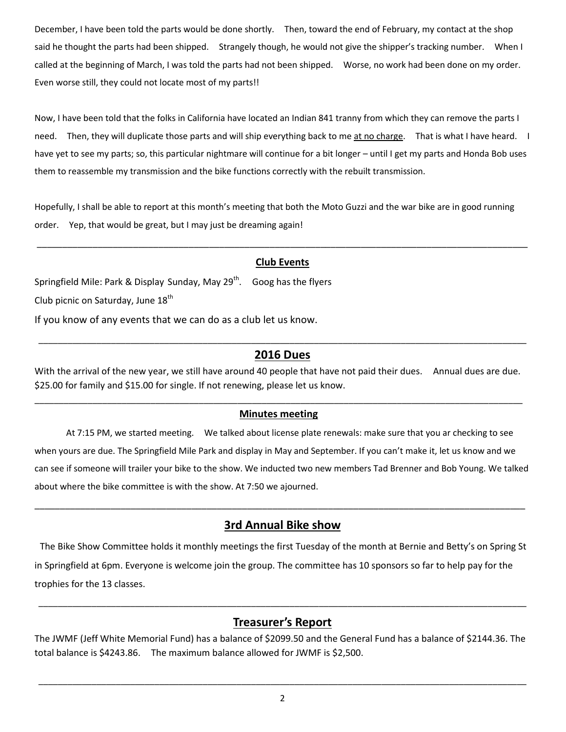December, I have been told the parts would be done shortly. Then, toward the end of February, my contact at the shop said he thought the parts had been shipped. Strangely though, he would not give the shipper's tracking number. When I called at the beginning of March, I was told the parts had not been shipped. Worse, no work had been done on my order. Even worse still, they could not locate most of my parts!!

Now, I have been told that the folks in California have located an Indian 841 tranny from which they can remove the parts I need. Then, they will duplicate those parts and will ship everything back to me at no charge. That is what I have heard. I have yet to see my parts; so, this particular nightmare will continue for a bit longer – until I get my parts and Honda Bob uses them to reassemble my transmission and the bike functions correctly with the rebuilt transmission.

Hopefully, I shall be able to report at this month's meeting that both the Moto Guzzi and the war bike are in good running order. Yep, that would be great, but I may just be dreaming again!

### \_\_\_\_\_\_\_\_\_\_\_\_\_\_\_\_\_\_\_\_\_\_\_\_\_\_\_\_\_\_\_\_\_\_\_\_\_\_\_\_\_\_\_\_\_\_\_\_\_\_\_\_\_\_\_\_\_\_\_\_\_\_\_\_\_\_\_\_\_\_\_\_\_\_\_\_\_\_\_\_\_\_\_\_\_\_\_\_\_\_\_\_\_\_\_\_\_ **Club Events**

Springfield Mile: Park & Display Sunday, May  $29<sup>th</sup>$ . Goog has the flyers

Club picnic on Saturday, June 18<sup>th</sup>

If you know of any events that we can do as a club let us know.

#### \_\_\_\_\_\_\_\_\_\_\_\_\_\_\_\_\_\_\_\_\_\_\_\_\_\_\_\_\_\_\_\_\_\_\_\_\_\_\_\_\_\_\_\_\_\_\_\_\_\_\_\_\_\_\_\_\_\_\_\_\_\_\_\_\_\_\_\_\_\_\_\_\_\_\_\_\_\_\_\_\_\_\_\_\_\_\_\_\_\_\_\_\_\_\_\_\_\_\_\_\_ **2016 Dues**

With the arrival of the new year, we still have around 40 people that have not paid their dues. Annual dues are due. \$25.00 for family and \$15.00 for single. If not renewing, please let us know.

#### \_\_\_\_\_\_\_\_\_\_\_\_\_\_\_\_\_\_\_\_\_\_\_\_\_\_\_\_\_\_\_\_\_\_\_\_\_\_\_\_\_\_\_\_\_\_\_\_\_\_\_\_\_\_\_\_\_\_\_\_\_\_\_\_\_\_\_\_\_\_\_\_\_\_\_\_\_\_\_\_\_\_\_\_\_\_\_\_\_\_\_\_\_\_\_\_\_\_\_\_\_ **Minutes meeting**

 At 7:15 PM, we started meeting. We talked about license plate renewals: make sure that you ar checking to see when yours are due. The Springfield Mile Park and display in May and September. If you can't make it, let us know and we can see if someone will trailer your bike to the show. We inducted two new members Tad Brenner and Bob Young. We talked about where the bike committee is with the show. At 7:50 we ajourned.

#### **3rd Annual Bike show**

\_\_\_\_\_\_\_\_\_\_\_\_\_\_\_\_\_\_\_\_\_\_\_\_\_\_\_\_\_\_\_\_\_\_\_\_\_\_\_\_\_\_\_\_\_\_\_\_\_\_\_\_\_\_\_\_\_\_\_\_\_\_\_\_\_\_\_\_\_\_\_\_\_\_\_\_\_\_\_\_\_\_\_\_\_\_\_\_\_\_\_\_\_\_\_\_\_

The Bike Show Committee holds it monthly meetings the first Tuesday of the month at Bernie and Betty's on Spring St in Springfield at 6pm. Everyone is welcome join the group. The committee has 10 sponsors so far to help pay for the trophies for the 13 classes.

#### **Treasurer's Report**

\_\_\_\_\_\_\_\_\_\_\_\_\_\_\_\_\_\_\_\_\_\_\_\_\_\_\_\_\_\_\_\_\_\_\_\_\_\_\_\_\_\_\_\_\_\_\_\_\_\_\_\_\_\_\_\_\_\_\_\_\_\_\_\_\_\_\_\_\_\_\_\_\_\_\_\_\_\_\_\_\_\_\_\_\_\_\_\_\_\_\_\_\_\_\_\_\_\_\_\_\_

The JWMF (Jeff White Memorial Fund) has a balance of \$2099.50 and the General Fund has a balance of \$2144.36. The total balance is \$4243.86. The maximum balance allowed for JWMF is \$2,500.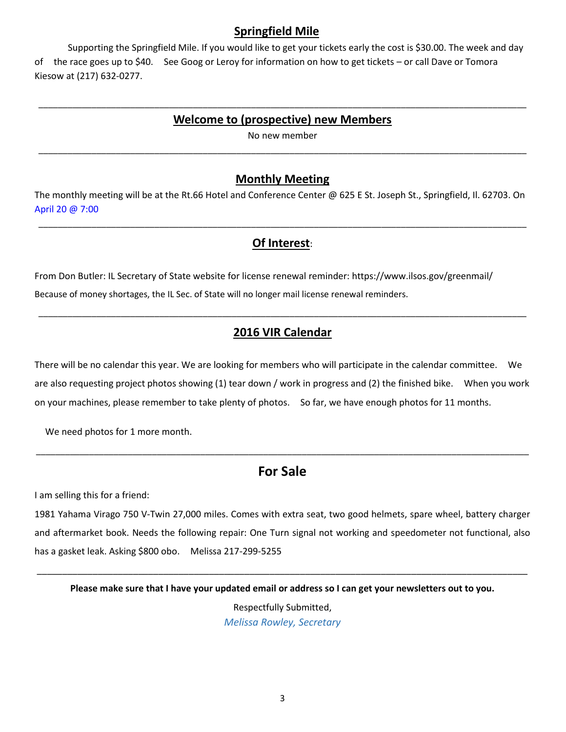#### **Springfield Mile**

Supporting the Springfield Mile. If you would like to get your tickets early the cost is \$30.00. The week and day of the race goes up to \$40. See Goog or Leroy for information on how to get tickets – or call Dave or Tomora Kiesow at (217) 632-0277.

#### \_\_\_\_\_\_\_\_\_\_\_\_\_\_\_\_\_\_\_\_\_\_\_\_\_\_\_\_\_\_\_\_\_\_\_\_\_\_\_\_\_\_\_\_\_\_\_\_\_\_\_\_\_\_\_\_\_\_\_\_\_\_\_\_\_\_\_\_\_\_\_\_\_\_\_\_\_\_\_\_\_\_\_\_\_\_\_\_\_\_\_\_\_\_\_\_\_\_\_\_\_ **Welcome to (prospective) new Members**

No new member \_\_\_\_\_\_\_\_\_\_\_\_\_\_\_\_\_\_\_\_\_\_\_\_\_\_\_\_\_\_\_\_\_\_\_\_\_\_\_\_\_\_\_\_\_\_\_\_\_\_\_\_\_\_\_\_\_\_\_\_\_\_\_\_\_\_\_\_\_\_\_\_\_\_\_\_\_\_\_\_\_\_\_\_\_\_\_\_\_\_\_\_\_\_\_\_\_\_\_\_\_

#### **Monthly Meeting**

The monthly meeting will be at the Rt.66 Hotel and Conference Center @ 625 E St. Joseph St., Springfield, II. 62703. On April 20 @ 7:00

## **Of Interest**:

\_\_\_\_\_\_\_\_\_\_\_\_\_\_\_\_\_\_\_\_\_\_\_\_\_\_\_\_\_\_\_\_\_\_\_\_\_\_\_\_\_\_\_\_\_\_\_\_\_\_\_\_\_\_\_\_\_\_\_\_\_\_\_\_\_\_\_\_\_\_\_\_\_\_\_\_\_\_\_\_\_\_\_\_\_\_\_\_\_\_\_\_\_\_\_\_\_\_\_\_\_

From Don Butler: IL Secretary of State website for license renewal reminder: https://www.ilsos.gov/greenmail/ Because of money shortages, the IL Sec. of State will no longer mail license renewal reminders.

## **2016 VIR Calendar**

\_\_\_\_\_\_\_\_\_\_\_\_\_\_\_\_\_\_\_\_\_\_\_\_\_\_\_\_\_\_\_\_\_\_\_\_\_\_\_\_\_\_\_\_\_\_\_\_\_\_\_\_\_\_\_\_\_\_\_\_\_\_\_\_\_\_\_\_\_\_\_\_\_\_\_\_\_\_\_\_\_\_\_\_\_\_\_\_\_\_\_\_\_\_\_\_\_\_\_\_\_

There will be no calendar this year. We are looking for members who will participate in the calendar committee. We are also requesting project photos showing (1) tear down / work in progress and (2) the finished bike. When you work on your machines, please remember to take plenty of photos. So far, we have enough photos for 11 months.

We need photos for 1 more month.

# **For Sale**

\_\_\_\_\_\_\_\_\_\_\_\_\_\_\_\_\_\_\_\_\_\_\_\_\_\_\_\_\_\_\_\_\_\_\_\_\_\_\_\_\_\_\_\_\_\_\_\_\_\_\_\_\_\_\_\_\_\_\_\_\_\_\_\_\_\_\_\_\_\_\_\_\_\_\_\_\_\_\_\_\_\_\_\_\_\_\_\_\_\_\_\_\_\_\_\_\_\_\_\_\_\_

I am selling this for a friend:

1981 Yahama Virago 750 V-Twin 27,000 miles. Comes with extra seat, two good helmets, spare wheel, battery charger and aftermarket book. Needs the following repair: One Turn signal not working and speedometer not functional, also has a gasket leak. Asking \$800 obo. Melissa 217-299-5255

\_\_\_\_\_\_\_\_\_\_\_\_\_\_\_\_\_\_\_\_\_\_\_\_\_\_\_\_\_\_\_\_\_\_\_\_\_\_\_\_\_\_\_\_\_\_\_\_\_\_\_\_\_\_\_\_\_\_\_\_\_\_\_\_\_\_\_\_\_\_\_\_\_\_\_\_\_\_\_\_\_\_\_\_\_\_\_\_\_\_\_\_\_\_\_\_\_ **Please make sure that I have your updated email or address so I can get your newsletters out to you.**

> Respectfully Submitted, *Melissa Rowley, Secretary*